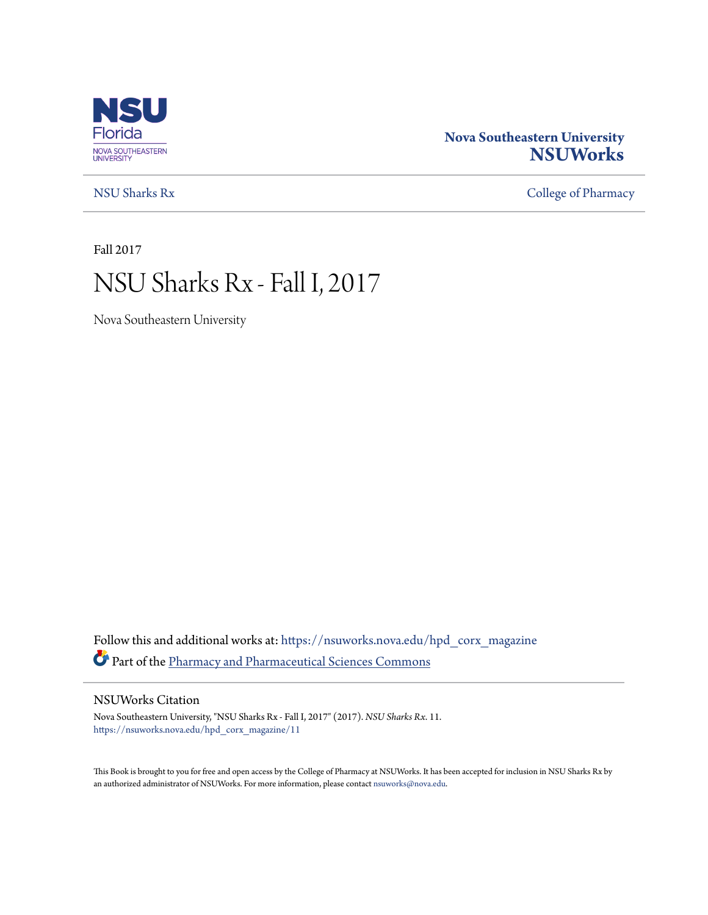

### **Nova Southeastern University [NSUWorks](https://nsuworks.nova.edu?utm_source=nsuworks.nova.edu%2Fhpd_corx_magazine%2F11&utm_medium=PDF&utm_campaign=PDFCoverPages)**

[NSU Sharks Rx](https://nsuworks.nova.edu/hpd_corx_magazine?utm_source=nsuworks.nova.edu%2Fhpd_corx_magazine%2F11&utm_medium=PDF&utm_campaign=PDFCoverPages) [College of Pharmacy](https://nsuworks.nova.edu/hpd_corx?utm_source=nsuworks.nova.edu%2Fhpd_corx_magazine%2F11&utm_medium=PDF&utm_campaign=PDFCoverPages)

Fall 2017

# NSU Sharks Rx - Fall I, 2017

Nova Southeastern University

Follow this and additional works at: [https://nsuworks.nova.edu/hpd\\_corx\\_magazine](https://nsuworks.nova.edu/hpd_corx_magazine?utm_source=nsuworks.nova.edu%2Fhpd_corx_magazine%2F11&utm_medium=PDF&utm_campaign=PDFCoverPages) Part of the [Pharmacy and Pharmaceutical Sciences Commons](http://network.bepress.com/hgg/discipline/731?utm_source=nsuworks.nova.edu%2Fhpd_corx_magazine%2F11&utm_medium=PDF&utm_campaign=PDFCoverPages)

#### NSUWorks Citation

Nova Southeastern University, "NSU Sharks Rx - Fall I, 2017" (2017). *NSU Sharks Rx*. 11. [https://nsuworks.nova.edu/hpd\\_corx\\_magazine/11](https://nsuworks.nova.edu/hpd_corx_magazine/11?utm_source=nsuworks.nova.edu%2Fhpd_corx_magazine%2F11&utm_medium=PDF&utm_campaign=PDFCoverPages)

This Book is brought to you for free and open access by the College of Pharmacy at NSUWorks. It has been accepted for inclusion in NSU Sharks Rx by an authorized administrator of NSUWorks. For more information, please contact [nsuworks@nova.edu.](mailto:nsuworks@nova.edu)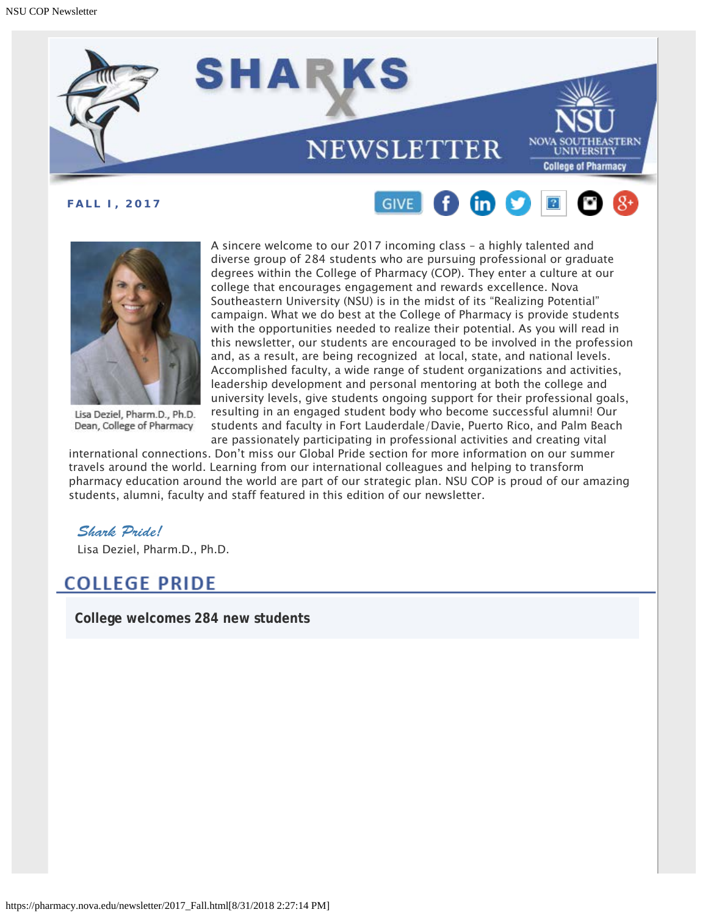





Lisa Deziel, Pharm.D., Ph.D. Dean, College of Pharmacy

A sincere welcome to our 2017 incoming class – a highly talented and diverse group of 284 students who are pursuing professional or graduate degrees within the College of Pharmacy (COP). They enter a culture at our college that encourages engagement and rewards excellence. Nova Southeastern University (NSU) is in the midst of its "Realizing Potential" campaign. What we do best at the College of Pharmacy is provide students with the opportunities needed to realize their potential. As you will read in this newsletter, our students are encouraged to be involved in the profession and, as a result, are being recognized at local, state, and national levels. Accomplished faculty, a wide range of student organizations and activities, leadership development and personal mentoring at both the college and university levels, give students ongoing support for their professional goals, resulting in an engaged student body who become successful alumni! Our students and faculty in Fort Lauderdale/Davie, Puerto Rico, and Palm Beach are passionately participating in professional activities and creating vital

international connections. Don't miss our Global Pride section for more information on our summer travels around the world. Learning from our international colleagues and helping to transform pharmacy education around the world are part of our strategic plan. NSU COP is proud of our amazing students, alumni, faculty and staff featured in this edition of our newsletter.

### *Shark Pride!*

Lisa Deziel, Pharm.D., Ph.D.

# **COLLEGE PRIDE**

**College welcomes 284 new students**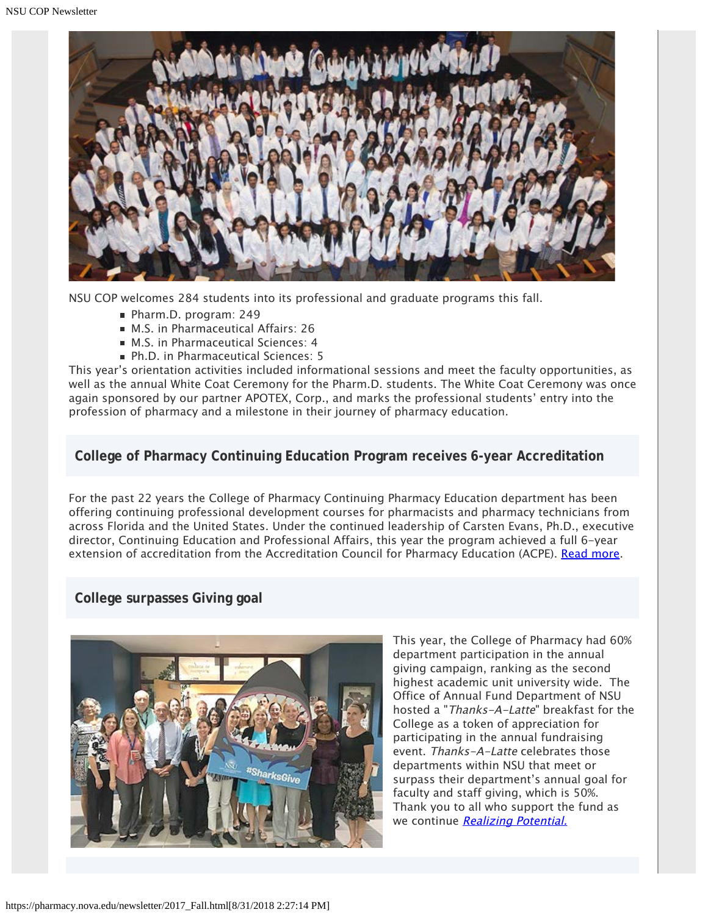

NSU COP welcomes 284 students into its professional and graduate programs this fall.

- Pharm.D. program: 249
- M.S. in Pharmaceutical Affairs: 26
- M.S. in Pharmaceutical Sciences: 4
- Ph.D. in Pharmaceutical Sciences: 5

This year's orientation activities included informational sessions and meet the faculty opportunities, as well as the annual White Coat Ceremony for the Pharm.D. students. The White Coat Ceremony was once again sponsored by our partner APOTEX, Corp., and marks the professional students' entry into the profession of pharmacy and a milestone in their journey of pharmacy education.

#### **College of Pharmacy Continuing Education Program receives 6-year Accreditation**

For the past 22 years the College of Pharmacy Continuing Pharmacy Education department has been offering continuing professional development courses for pharmacists and pharmacy technicians from across Florida and the United States. Under the continued leadership of Carsten Evans, Ph.D., executive director, Continuing Education and Professional Affairs, this year the program achieved a full 6-year extension of accreditation from the Accreditation Council for Pharmacy Education (ACPE). [Read more](https://nsunews.nova.edu/college-of-pharmacy-continuing-education-program-receives-6-year-accreditation/).

### **College surpasses Giving goal**



This year, the College of Pharmacy had 60% department participation in the annual giving campaign, ranking as the second highest academic unit university wide. The Office of Annual Fund Department of NSU hosted a "Thanks-A-Latte" breakfast for the College as a token of appreciation for participating in the annual fundraising event. Thanks-A-Latte celebrates those departments within NSU that meet or surpass their department's annual goal for faculty and staff giving, which is 50%. Thank you to all who support the fund as we continue [Realizing Potential.](https://realizingpotential.nova.edu/index.html)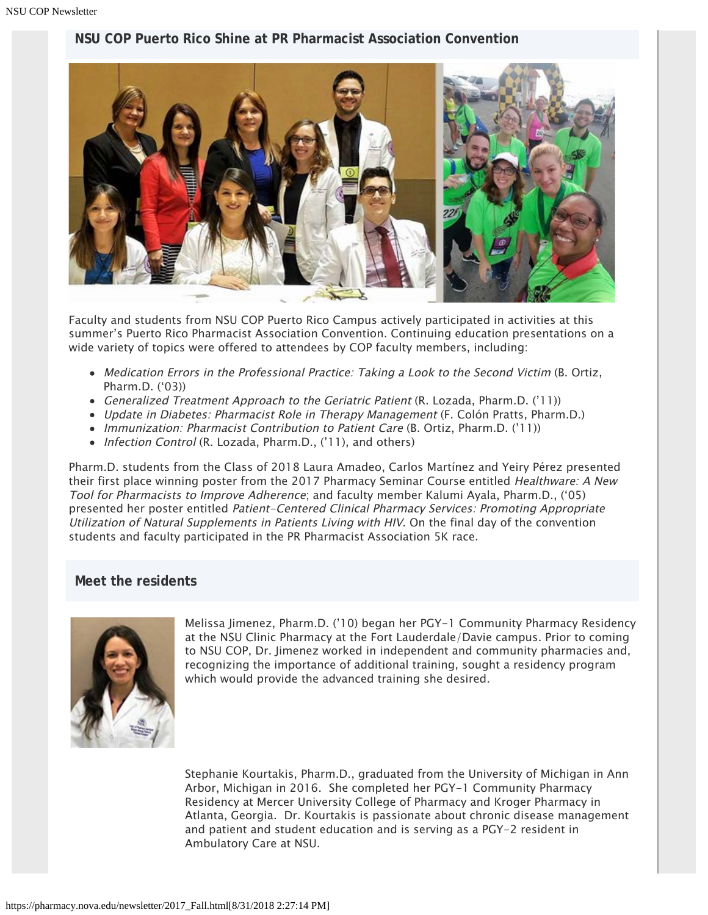### **NSU COP Puerto Rico Shine at PR Pharmacist Association Convention**



Faculty and students from NSU COP Puerto Rico Campus actively participated in activities at this summer's Puerto Rico Pharmacist Association Convention. Continuing education presentations on a wide variety of topics were offered to attendees by COP faculty members, including:

- Medication Errors in the Professional Practice: Taking a Look to the Second Victim (B. Ortiz, Pharm.D. ('03))
- Generalized Treatment Approach to the Geriatric Patient (R. Lozada, Pharm.D. ('11))
- Update in Diabetes: Pharmacist Role in Therapy Management (F. Colón Pratts, Pharm.D.)
- Immunization: Pharmacist Contribution to Patient Care (B. Ortiz, Pharm.D. ('11))
- Infection Control (R. Lozada, Pharm.D., ('11), and others)

Pharm.D. students from the Class of 2018 Laura Amadeo, Carlos Martínez and Yeiry Pérez presented their first place winning poster from the 2017 Pharmacy Seminar Course entitled Healthware: A New Tool for Pharmacists to Improve Adherence; and faculty member Kalumi Ayala, Pharm.D., ('05) presented her poster entitled Patient-Centered Clinical Pharmacy Services: Promoting Appropriate Utilization of Natural Supplements in Patients Living with HIV. On the final day of the convention students and faculty participated in the PR Pharmacist Association 5K race.

### **Meet the residents**



Melissa Jimenez, Pharm.D. ('10) began her PGY-1 Community Pharmacy Residency at the NSU Clinic Pharmacy at the Fort Lauderdale/Davie campus. Prior to coming to NSU COP, Dr. Jimenez worked in independent and community pharmacies and, recognizing the importance of additional training, sought a residency program which would provide the advanced training she desired.

Stephanie Kourtakis, Pharm.D., graduated from the University of Michigan in Ann Arbor, Michigan in 2016. She completed her PGY-1 Community Pharmacy Residency at Mercer University College of Pharmacy and Kroger Pharmacy in Atlanta, Georgia. Dr. Kourtakis is passionate about chronic disease management and patient and student education and is serving as a PGY-2 resident in Ambulatory Care at NSU.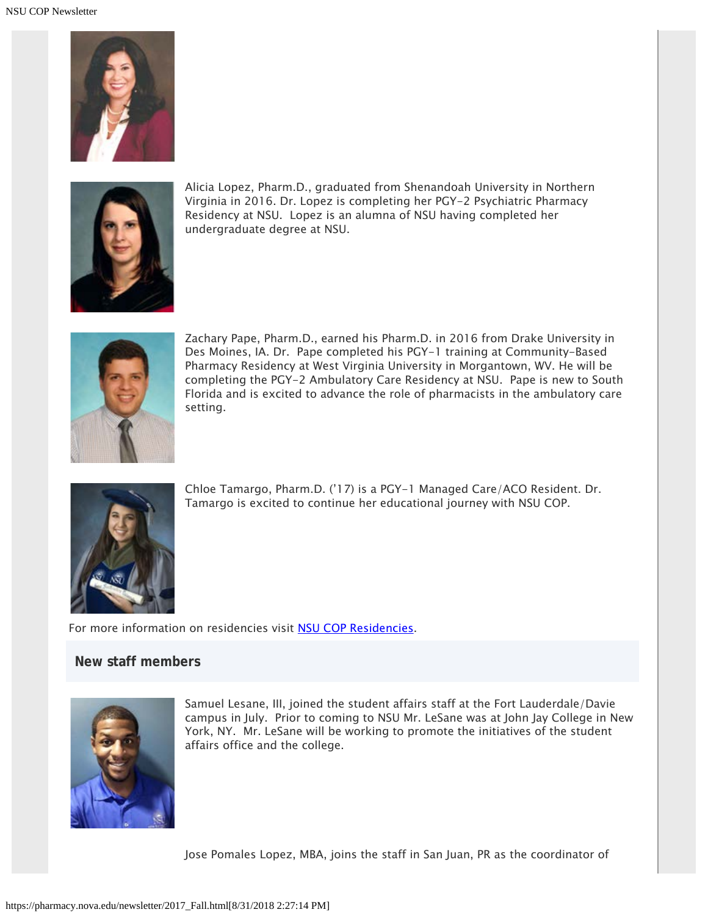



Alicia Lopez, Pharm.D., graduated from Shenandoah University in Northern Virginia in 2016. Dr. Lopez is completing her PGY-2 Psychiatric Pharmacy Residency at NSU. Lopez is an alumna of NSU having completed her undergraduate degree at NSU.



Zachary Pape, Pharm.D., earned his Pharm.D. in 2016 from Drake University in Des Moines, IA. Dr. Pape completed his PGY-1 training at Community-Based Pharmacy Residency at West Virginia University in Morgantown, WV. He will be completing the PGY-2 Ambulatory Care Residency at NSU. Pape is new to South Florida and is excited to advance the role of pharmacists in the ambulatory care setting.



Chloe Tamargo, Pharm.D. ('17) is a PGY-1 Managed Care/ACO Resident. Dr. Tamargo is excited to continue her educational journey with NSU COP.

For more information on residencies visit [NSU COP Residencies.](http://pharmacy.nova.edu/graduate/residencies.html)

#### **New staff members**



Samuel Lesane, III, joined the student affairs staff at the Fort Lauderdale/Davie campus in July. Prior to coming to NSU Mr. LeSane was at John Jay College in New York, NY. Mr. LeSane will be working to promote the initiatives of the student affairs office and the college.

Jose Pomales Lopez, MBA, joins the staff in San Juan, PR as the coordinator of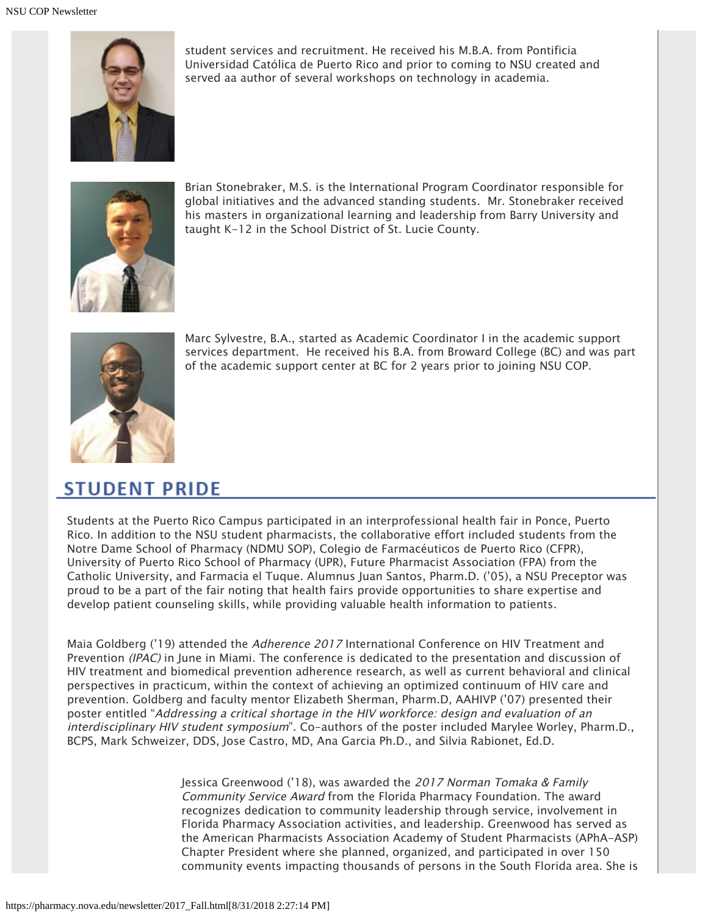

student services and recruitment. He received his M.B.A. from Pontificia Universidad Católica de Puerto Rico and prior to coming to NSU created and served aa author of several workshops on technology in academia.



Brian Stonebraker, M.S. is the International Program Coordinator responsible for global initiatives and the advanced standing students. Mr. Stonebraker received his masters in organizational learning and leadership from Barry University and taught K-12 in the School District of St. Lucie County.



Marc Sylvestre, B.A., started as Academic Coordinator I in the academic support services department. He received his B.A. from Broward College (BC) and was part of the academic support center at BC for 2 years prior to joining NSU COP.

# **STUDENT PRIDE**

Students at the Puerto Rico Campus participated in an interprofessional health fair in Ponce, Puerto Rico. In addition to the NSU student pharmacists, the collaborative effort included students from the Notre Dame School of Pharmacy (NDMU SOP), Colegio de Farmacéuticos de Puerto Rico (CFPR), University of Puerto Rico School of Pharmacy (UPR), Future Pharmacist Association (FPA) from the Catholic University, and Farmacia el Tuque. Alumnus Juan Santos, Pharm.D. ('05), a NSU Preceptor was proud to be a part of the fair noting that health fairs provide opportunities to share expertise and develop patient counseling skills, while providing valuable health information to patients.

Maia Goldberg ('19) attended the Adherence 2017 International Conference on HIV Treatment and Prevention (IPAC) in June in Miami. The conference is dedicated to the presentation and discussion of HIV treatment and biomedical prevention adherence research, as well as current behavioral and clinical perspectives in practicum, within the context of achieving an optimized continuum of HIV care and prevention. Goldberg and faculty mentor Elizabeth Sherman, Pharm.D, AAHIVP ('07) presented their poster entitled "Addressing a critical shortage in the HIV workforce: design and evaluation of an interdisciplinary HIV student symposium". Co-authors of the poster included Marylee Worley, Pharm.D., BCPS, Mark Schweizer, DDS, Jose Castro, MD, Ana Garcia Ph.D., and Silvia Rabionet, Ed.D.

> Jessica Greenwood ('18), was awarded the 2017 Norman Tomaka & Family Community Service Award from the Florida Pharmacy Foundation. The award recognizes dedication to community leadership through service, involvement in Florida Pharmacy Association activities, and leadership. Greenwood has served as the American Pharmacists Association Academy of Student Pharmacists (APhA-ASP) Chapter President where she planned, organized, and participated in over 150 community events impacting thousands of persons in the South Florida area. She is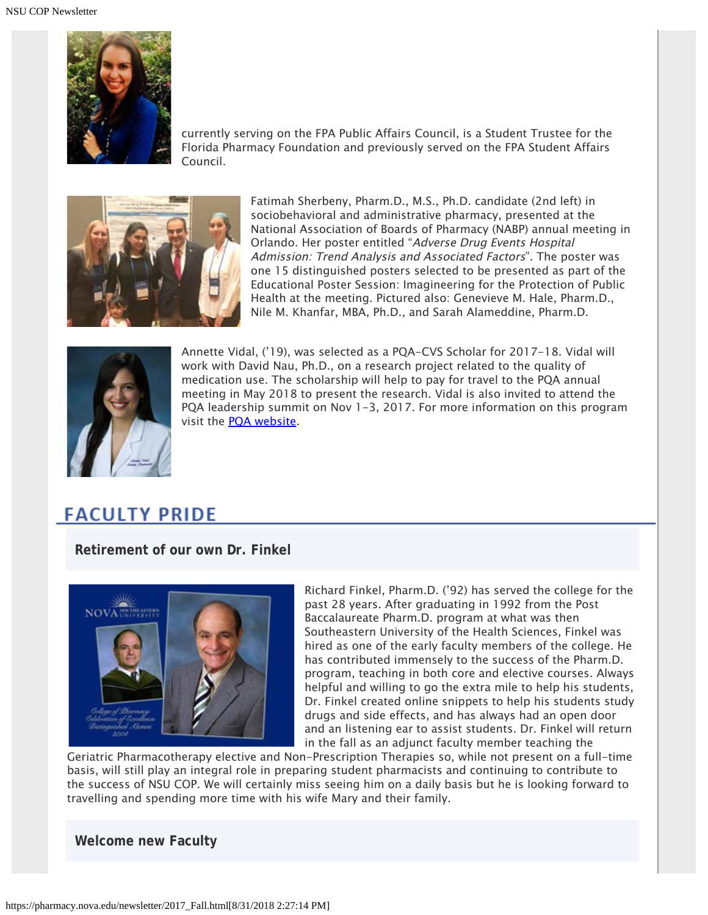

currently serving on the FPA Public Affairs Council, is a Student Trustee for the Florida Pharmacy Foundation and previously served on the FPA Student Affairs Council.



Fatimah Sherbeny, Pharm.D., M.S., Ph.D. candidate (2nd left) in sociobehavioral and administrative pharmacy, presented at the National Association of Boards of Pharmacy (NABP) annual meeting in Orlando. Her poster entitled "Adverse Drug Events Hospital Admission: Trend Analysis and Associated Factors". The poster was one 15 distinguished posters selected to be presented as part of the Educational Poster Session: Imagineering for the Protection of Public Health at the meeting. Pictured also: Genevieve M. Hale, Pharm.D., Nile M. Khanfar, MBA, Ph.D., and Sarah Alameddine, Pharm.D.



Annette Vidal, ('19), was selected as a PQA-CVS Scholar for 2017-18. Vidal will work with David Nau, Ph.D., on a research project related to the quality of medication use. The scholarship will help to pay for travel to the PQA annual meeting in May 2018 to present the research. Vidal is also invited to attend the PQA leadership summit on Nov 1-3, 2017. For more information on this program visit the [PQA website.](http://pqaalliance.org/academic/scholars.asp)

# **FACULTY PRIDE**

**Retirement of our own Dr. Finkel**



Richard Finkel, Pharm.D. ('92) has served the college for the past 28 years. After graduating in 1992 from the Post Baccalaureate Pharm.D. program at what was then Southeastern University of the Health Sciences, Finkel was hired as one of the early faculty members of the college. He has contributed immensely to the success of the Pharm.D. program, teaching in both core and elective courses. Always helpful and willing to go the extra mile to help his students, Dr. Finkel created online snippets to help his students study drugs and side effects, and has always had an open door and an listening ear to assist students. Dr. Finkel will return in the fall as an adjunct faculty member teaching the

Geriatric Pharmacotherapy elective and Non-Prescription Therapies so, while not present on a full-time basis, will still play an integral role in preparing student pharmacists and continuing to contribute to the success of NSU COP. We will certainly miss seeing him on a daily basis but he is looking forward to travelling and spending more time with his wife Mary and their family.

**Welcome new Faculty**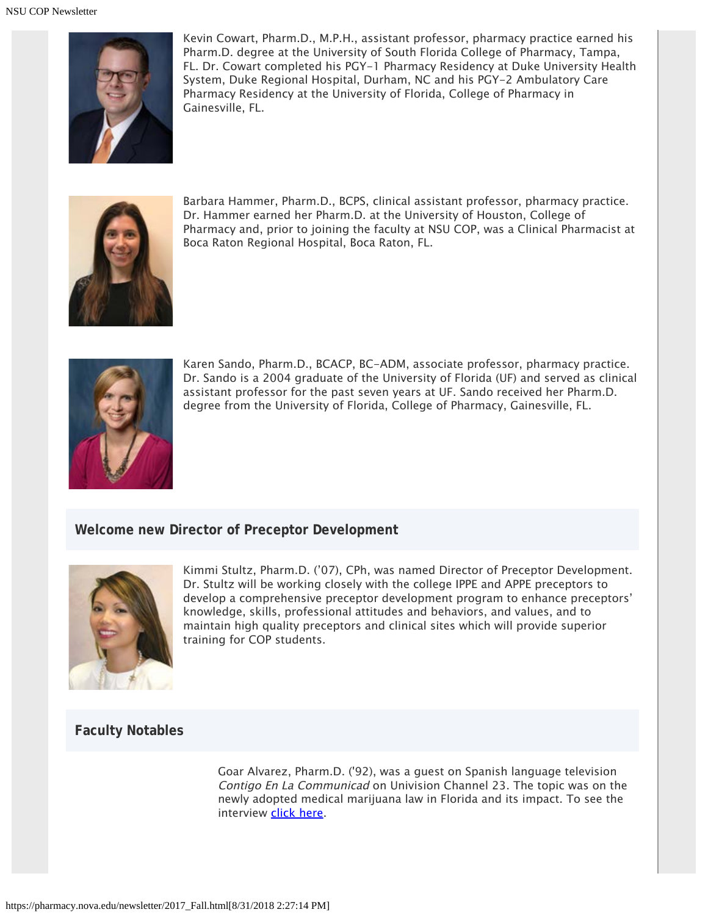

Kevin Cowart, Pharm.D., M.P.H., assistant professor, pharmacy practice earned his Pharm.D. degree at the University of South Florida College of Pharmacy, Tampa, FL. Dr. Cowart completed his PGY-1 Pharmacy Residency at Duke University Health System, Duke Regional Hospital, Durham, NC and his PGY-2 Ambulatory Care Pharmacy Residency at the University of Florida, College of Pharmacy in Gainesville, FL.



Barbara Hammer, Pharm.D., BCPS, clinical assistant professor, pharmacy practice. Dr. Hammer earned her Pharm.D. at the University of Houston, College of Pharmacy and, prior to joining the faculty at NSU COP, was a Clinical Pharmacist at Boca Raton Regional Hospital, Boca Raton, FL.



Karen Sando, Pharm.D., BCACP, BC-ADM, associate professor, pharmacy practice. Dr. Sando is a 2004 graduate of the University of Florida (UF) and served as clinical assistant professor for the past seven years at UF. Sando received her Pharm.D. degree from the University of Florida, College of Pharmacy, Gainesville, FL.

#### **Welcome new Director of Preceptor Development**



Kimmi Stultz, Pharm.D. ('07), CPh, was named Director of Preceptor Development. Dr. Stultz will be working closely with the college IPPE and APPE preceptors to develop a comprehensive preceptor development program to enhance preceptors' knowledge, skills, professional attitudes and behaviors, and values, and to maintain high quality preceptors and clinical sites which will provide superior training for COP students.

### **Faculty Notables**

Goar Alvarez, Pharm.D. ('92), was a guest on Spanish language television Contigo En La Communicad on Univision Channel 23. The topic was on the newly adopted medical marijuana law in Florida and its impact. To see the interview [click here](https://nsunews.nova.edu/dr-goar-alvarez-featured-on-univion-23s-public-affairs-show/).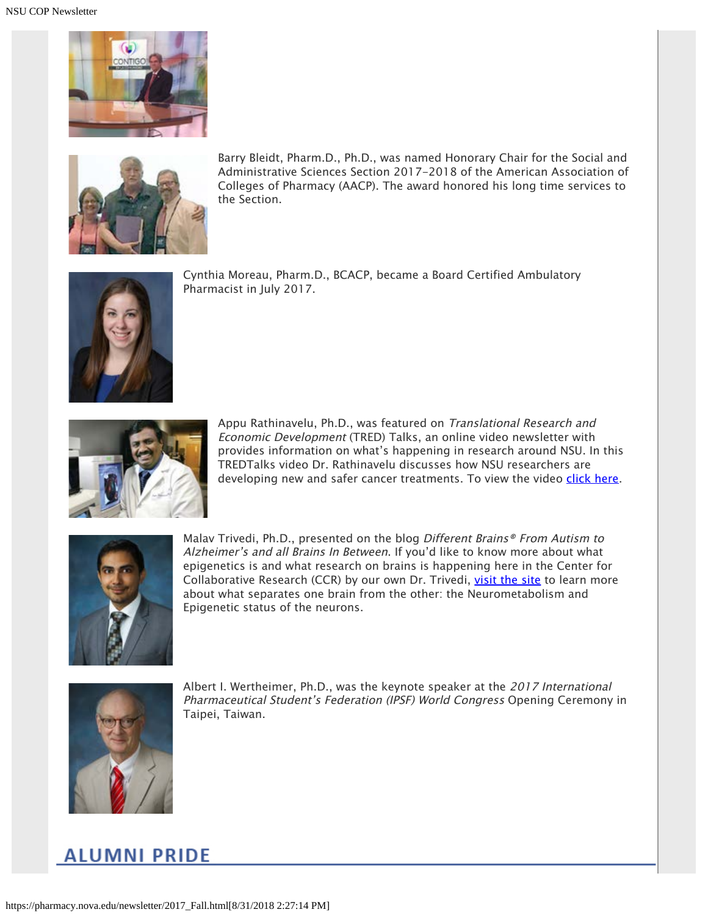



Barry Bleidt, Pharm.D., Ph.D., was named Honorary Chair for the Social and Administrative Sciences Section 2017-2018 of the American Association of Colleges of Pharmacy (AACP). The award honored his long time services to the Section.



Cynthia Moreau, Pharm.D., BCACP, became a Board Certified Ambulatory Pharmacist in July 2017.



Appu Rathinavelu, Ph.D., was featured on Translational Research and Economic Development (TRED) Talks, an online video newsletter with provides information on what's happening in research around NSU. In this TREDTalks video Dr. Rathinavelu discusses how NSU researchers are developing new and safer cancer treatments. To view the video [click here](https://www.youtube.com/watch?v=vs72UF7DVjY&feature=youtu.be).



Malav Trivedi, Ph.D., presented on the blog Different Brains® From Autism to Alzheimer's and all Brains In Between. If you'd like to know more about what epigenetics is and what research on brains is happening here in the Center for Collaborative Research (CCR) by our own Dr. Trivedi, [visit the site](http://differentbrains.org/neurometabolism-epigenetics-understanding-neurodiversity-new-metabolic-molecular-lens/) to learn more about what separates one brain from the other: the Neurometabolism and Epigenetic status of the neurons.



Albert I. Wertheimer, Ph.D., was the keynote speaker at the 2017 International Pharmaceutical Student's Federation (IPSF) World Congress Opening Ceremony in Taipei, Taiwan.

# **ALUMNI PRIDE**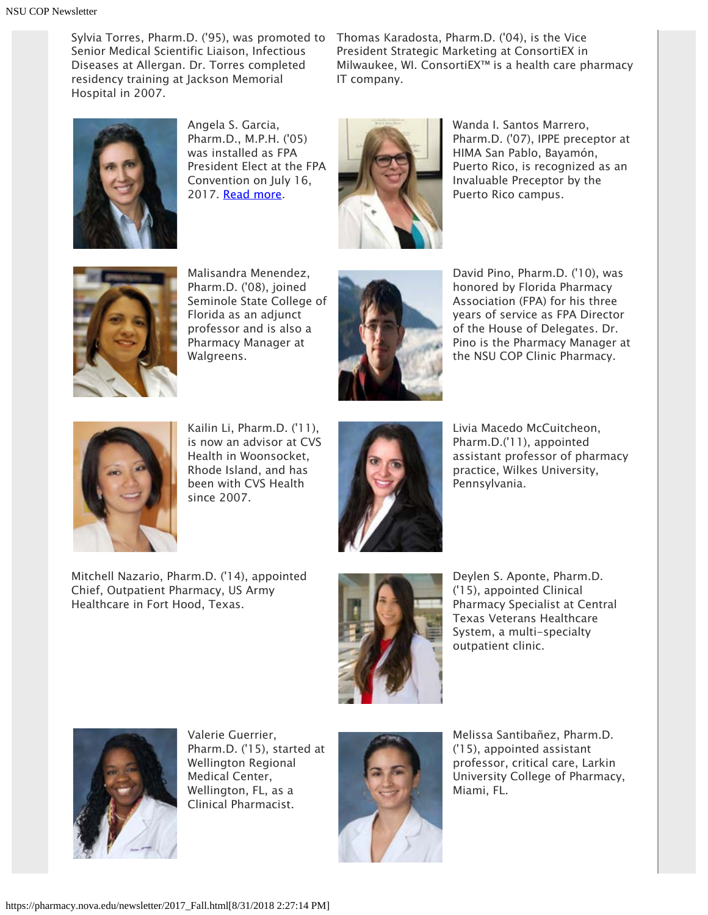Sylvia Torres, Pharm.D. ('95), was promoted to Thomas Karadosta, Pharm.D. ('04), is the Vice Senior Medical Scientific Liaison, Infectious Diseases at Allergan. Dr. Torres completed residency training at Jackson Memorial Hospital in 2007.

President Strategic Marketing at ConsortiEX in Milwaukee, WI. ConsortiEX™ is a health care pharmacy IT company.



Angela S. Garcia, Pharm.D., M.P.H. ('05) was installed as FPA President Elect at the FPA Convention on July 16, 2017. [Read more](https://nsunews.nova.edu/nsu-alumna-installed-as-florida-pharmacy-association-president-elect).



Wanda I. Santos Marrero, Pharm.D. ('07), IPPE preceptor at HIMA San Pablo, Bayamón, Puerto Rico, is recognized as an Invaluable Preceptor by the Puerto Rico campus.



Malisandra Menendez, Pharm.D. ('08), joined Seminole State College of Florida as an adjunct professor and is also a Pharmacy Manager at Walgreens.



David Pino, Pharm.D. ('10), was honored by Florida Pharmacy Association (FPA) for his three years of service as FPA Director of the House of Delegates. Dr. Pino is the Pharmacy Manager at the NSU COP Clinic Pharmacy.



Kailin Li, Pharm.D. ('11), is now an advisor at CVS Health in Woonsocket, Rhode Island, and has been with CVS Health since 2007.



Livia Macedo McCuitcheon, Pharm.D.('11), appointed assistant professor of pharmacy practice, Wilkes University, Pennsylvania.

Mitchell Nazario, Pharm.D. ('14), appointed Chief, Outpatient Pharmacy, US Army Healthcare in Fort Hood, Texas.



Deylen S. Aponte, Pharm.D. ('15), appointed Clinical Pharmacy Specialist at Central Texas Veterans Healthcare System, a multi-specialty outpatient clinic.



Valerie Guerrier, Pharm.D. ('15), started at Wellington Regional Medical Center, Wellington, FL, as a Clinical Pharmacist.



Melissa Santibañez, Pharm.D. ('15), appointed assistant professor, critical care, Larkin University College of Pharmacy, Miami, FL.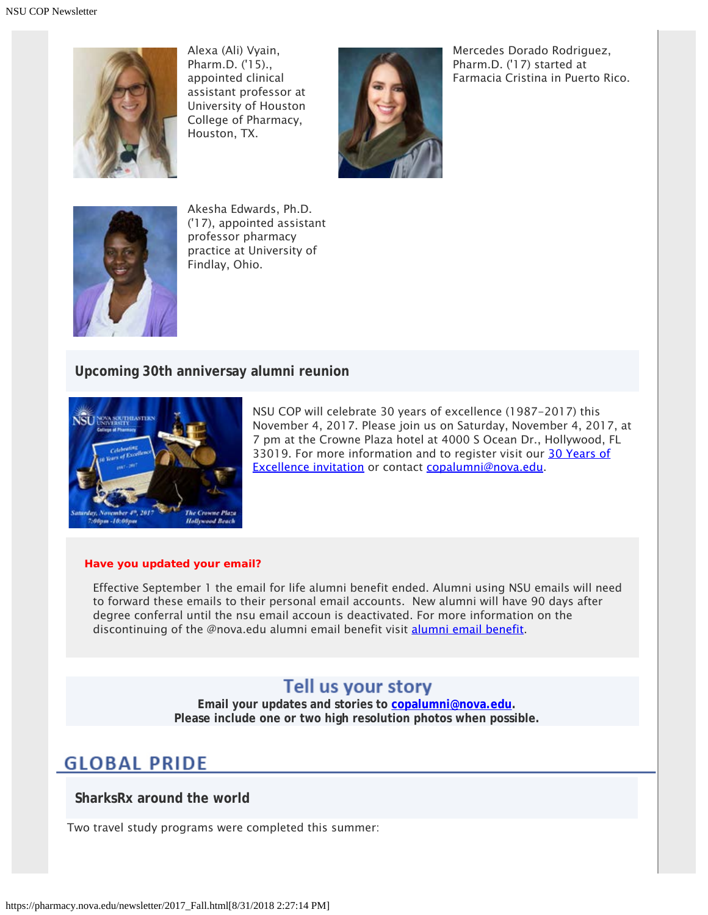

Alexa (Ali) Vyain, Pharm.D. ('15)., appointed clinical assistant professor at University of Houston College of Pharmacy, Houston, TX.



Mercedes Dorado Rodriguez, Pharm.D. ('17) started at Farmacia Cristina in Puerto Rico.



Akesha Edwards, Ph.D. ('17), appointed assistant professor pharmacy practice at University of Findlay, Ohio.

### **Upcoming 30th anniversay alumni reunion**



NSU COP will celebrate 30 years of excellence (1987-2017) this November 4, 2017. Please join us on Saturday, November 4, 2017, at 7 pm at the Crowne Plaza hotel at 4000 S Ocean Dr., Hollywood, FL 33019. For more information and to register visit our [30 Years of](http://www.cvent.com/events/college-of-pharmacy-alumni-homecoming-reception-celebrating-30-years-of-excellence/event-summary-e217efc96b0b483281527d2930f393cf.aspx) [Excellence invitation](http://www.cvent.com/events/college-of-pharmacy-alumni-homecoming-reception-celebrating-30-years-of-excellence/event-summary-e217efc96b0b483281527d2930f393cf.aspx) or contact [copalumni@nova.edu.](mailto:copalumni@nova.edu)

#### **Have you updated your email?**

Effective September 1 the email for life alumni benefit ended. Alumni using NSU emails will need to forward these emails to their personal email accounts. New alumni will have 90 days after degree conferral until the nsu email accoun is deactivated. For more information on the discontinuing of the @nova.edu [alumni email benefit](https://www.nova.edu/oiit/office-365/mynsumigration/index.html) visit alumni email benefit.

### Tell us your story

**Email your updates and stories to [copalumni@nova.edu.](mailto:copalumni@nova.edu) Please include one or two high resolution photos when possible.**

### **GLOBAL PRIDE**

**SharksRx around the world**

Two travel study programs were completed this summer: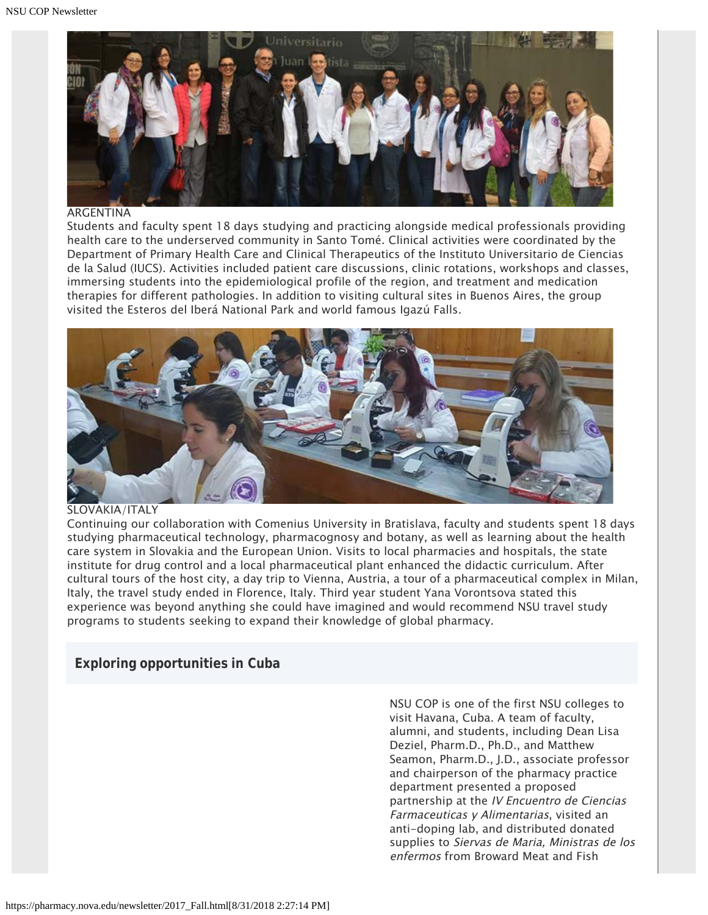

#### ARGENTINA

Students and faculty spent 18 days studying and practicing alongside medical professionals providing health care to the underserved community in Santo Tomé. Clinical activities were coordinated by the Department of Primary Health Care and Clinical Therapeutics of the Instituto Universitario de Ciencias de la Salud (IUCS). Activities included patient care discussions, clinic rotations, workshops and classes, immersing students into the epidemiological profile of the region, and treatment and medication therapies for different pathologies. In addition to visiting cultural sites in Buenos Aires, the group visited the Esteros del Iberá National Park and world famous Igazú Falls.



#### SLOVAKIA/ITALY

Continuing our collaboration with Comenius University in Bratislava, faculty and students spent 18 days studying pharmaceutical technology, pharmacognosy and botany, as well as learning about the health care system in Slovakia and the European Union. Visits to local pharmacies and hospitals, the state institute for drug control and a local pharmaceutical plant enhanced the didactic curriculum. After cultural tours of the host city, a day trip to Vienna, Austria, a tour of a pharmaceutical complex in Milan, Italy, the travel study ended in Florence, Italy. Third year student Yana Vorontsova stated this experience was beyond anything she could have imagined and would recommend NSU travel study programs to students seeking to expand their knowledge of global pharmacy.

### **Exploring opportunities in Cuba**

NSU COP is one of the first NSU colleges to visit Havana, Cuba. A team of faculty, alumni, and students, including Dean Lisa Deziel, Pharm.D., Ph.D., and Matthew Seamon, Pharm.D., J.D., associate professor and chairperson of the pharmacy practice department presented a proposed partnership at the IV Encuentro de Ciencias Farmaceuticas y Alimentarias, visited an anti-doping lab, and distributed donated supplies to Siervas de Maria, Ministras de los enfermos from Broward Meat and Fish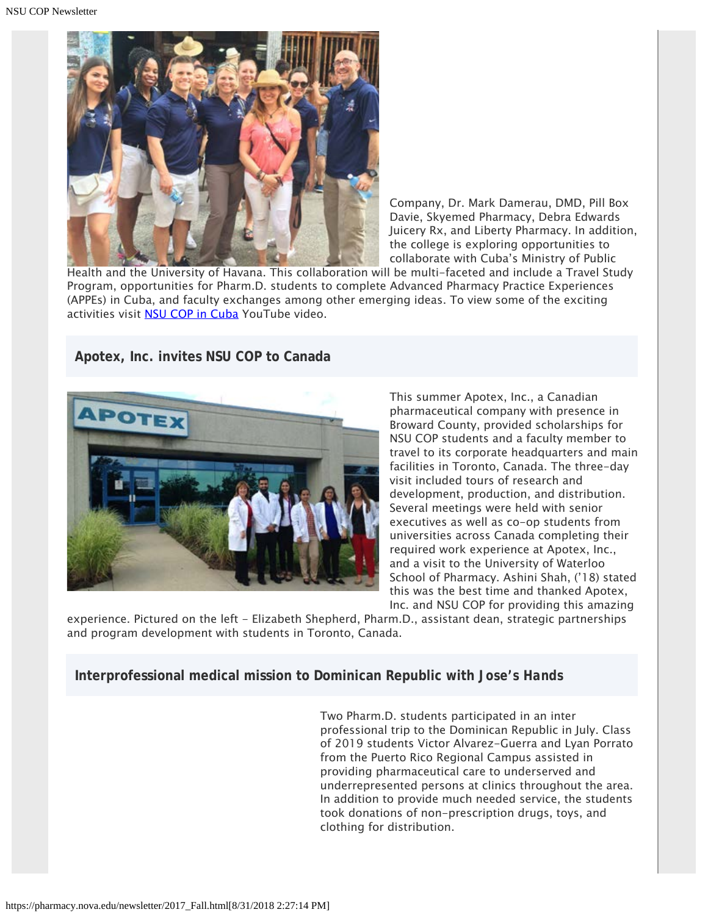

Company, Dr. Mark Damerau, DMD, Pill Box Davie, Skyemed Pharmacy, Debra Edwards Juicery Rx, and Liberty Pharmacy. In addition, the college is exploring opportunities to collaborate with Cuba's Ministry of Public

Health and the University of Havana. This collaboration will be multi-faceted and include a Travel Study Program, opportunities for Pharm.D. students to complete Advanced Pharmacy Practice Experiences (APPEs) in Cuba, and faculty exchanges among other emerging ideas. To view some of the exciting activities visit **NSU COP in Cuba** YouTube video.

**Apotex, Inc. invites NSU COP to Canada**



This summer Apotex, Inc., a Canadian pharmaceutical company with presence in Broward County, provided scholarships for NSU COP students and a faculty member to travel to its corporate headquarters and main facilities in Toronto, Canada. The three-day visit included tours of research and development, production, and distribution. Several meetings were held with senior executives as well as co-op students from universities across Canada completing their required work experience at Apotex, Inc., and a visit to the University of Waterloo School of Pharmacy. Ashini Shah, ('18) stated this was the best time and thanked Apotex, Inc. and NSU COP for providing this amazing

experience. Pictured on the left - Elizabeth Shepherd, Pharm.D., assistant dean, strategic partnerships and program development with students in Toronto, Canada.

### **Interprofessional medical mission to Dominican Republic with** *Jose's Hands*

Two Pharm.D. students participated in an inter professional trip to the Dominican Republic in July. Class of 2019 students Victor Alvarez-Guerra and Lyan Porrato from the Puerto Rico Regional Campus assisted in providing pharmaceutical care to underserved and underrepresented persons at clinics throughout the area. In addition to provide much needed service, the students took donations of non-prescription drugs, toys, and clothing for distribution.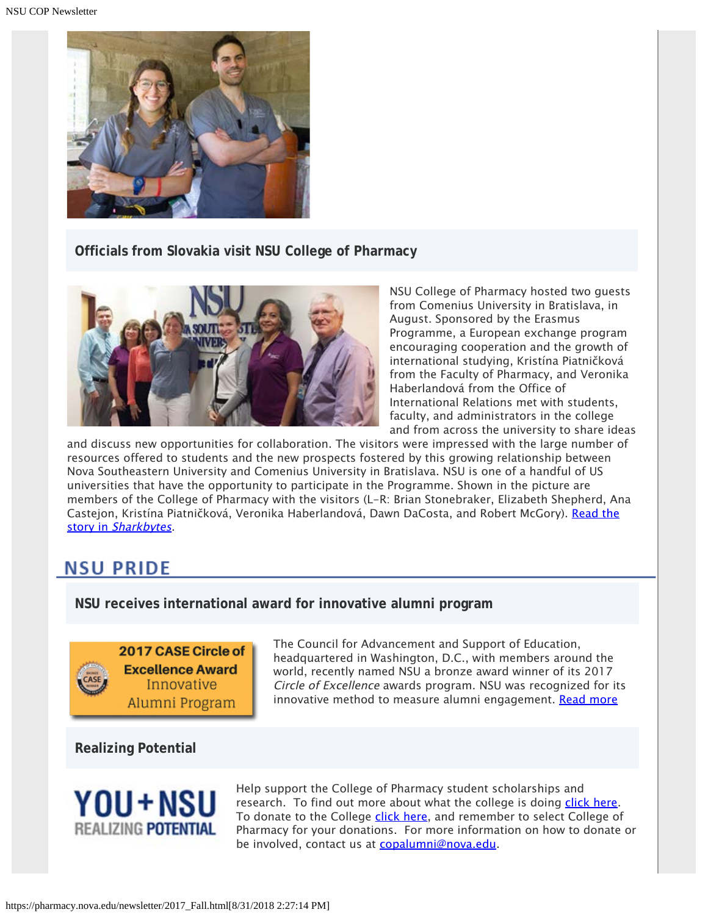

**Officials from Slovakia visit NSU College of Pharmacy**



NSU College of Pharmacy hosted two guests from Comenius University in Bratislava, in August. Sponsored by the Erasmus Programme, a European exchange program encouraging cooperation and the growth of international studying, Kristína Piatničková from the Faculty of Pharmacy, and Veronika Haberlandová from the Office of International Relations met with students, faculty, and administrators in the college and from across the university to share ideas

and discuss new opportunities for collaboration. The visitors were impressed with the large number of resources offered to students and the new prospects fostered by this growing relationship between Nova Southeastern University and Comenius University in Bratislava. NSU is one of a handful of US universities that have the opportunity to participate in the Programme. Shown in the picture are members of the College of Pharmacy with the visitors (L-R: Brian Stonebraker, Elizabeth Shepherd, Ana Castejon, Kristína Piatničková, Veronika Haberlandová, Dawn DaCosta, and Robert McGory). [Read the](https://nsunews.nova.edu/officials-from-slovakia-visit-nsu-college-of-pharmacy/) [story in](https://nsunews.nova.edu/officials-from-slovakia-visit-nsu-college-of-pharmacy/) [Sharkbytes](https://nsunews.nova.edu/officials-from-slovakia-visit-nsu-college-of-pharmacy/).

### **NSU PRIDE**

**NSU receives international award for innovative alumni program**



The Council for Advancement and Support of Education, headquartered in Washington, D.C., with members around the world, recently named NSU a bronze award winner of its 2017 Circle of Excellence awards program. NSU was recognized for its innovative method to measure alumni engagement. [Read more](http://www.case.org/Awards/Circle_of_Excellence/About_COE/Previous_Winners/2017_Winners/Winners_by_Institution_.html)

**Realizing Potential**



Help support the College of Pharmacy student scholarships and research. To find out more about what the college is doing [click here](https://www.nova.edu/publications/realizingpotential/pharmacy/). To donate to the College [click here](https://realizingpotential.nova.edu/give/index.html?area=Research&designation=AutoNation%20Institute%20for%20Breast%20and%20Solid%20Tumor%20Research), and remember to select College of Pharmacy for your donations. For more information on how to donate or be involved, contact us at [copalumni@nova.edu](mailto:copalumni@nova.edu).